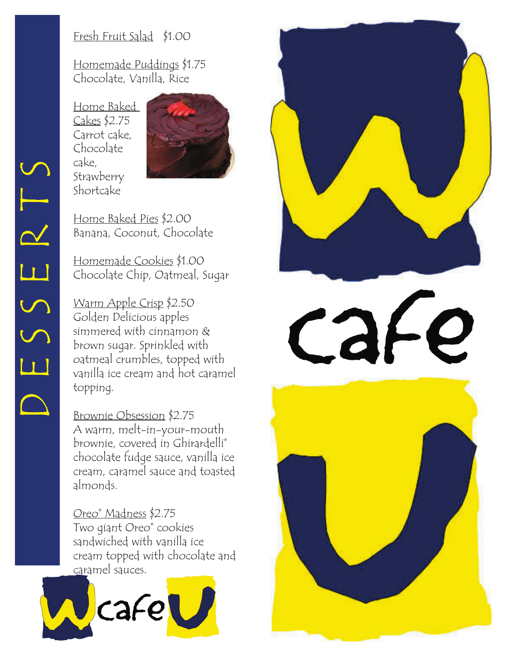## Fresh Fruit Salad \$1.00

Homemade Puddings \$1.75 Chocolate, Vanilla, Rice

Home Baked Cakes \$2.75 Carrot cake, Chocolate cake, Strawberry Shortcake



Home Baked Pies \$2.00 Banana, Coconut, Chocolate

Homemade Cookies \$1.00 Chocolate Chip, Oatmeal, Sugar

Warm Apple Crisp \$2.50 Golden Delicious apples simmered with cinnamon & brown sugar. Sprinkled with oatmeal crumbles, topped with vanilla ice cream and hot caramel topping.

Brownie Obsession \$2.75 A warm, melt-in-your-mouth brownie, covered in Ghirardelli® chocolate fudge sauce, vanilla ice cream, caramel sauce and toasted almonds.

Oreo® Madness \$2.75 Two giant Oreo® cookies sandwiched with vanilla ice cream topped with chocolate and caramel sauces.





 $\mathcal{L}_{\mathcal{L}}$ 

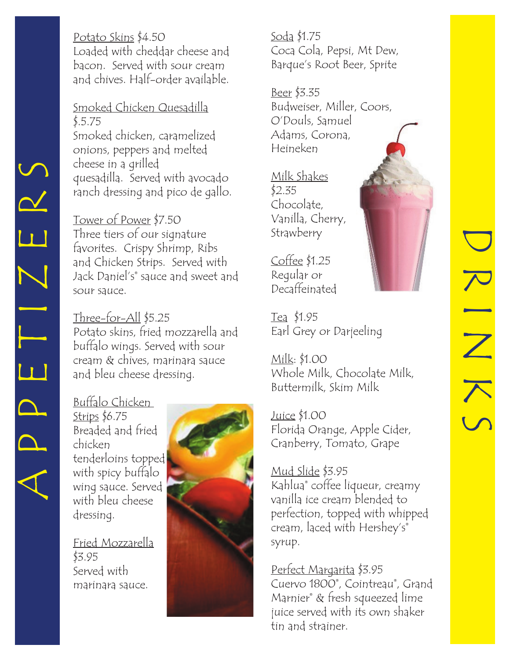Smoked Chicken Quesadilla  $$.5.75$ Smoked chicken, caramelized

onions, peppers and melted cheese in a grilled quesadilla. Served with avocado ranch dressing and pico de gallo.

## Tower of Power \$7.50

Three tiers of our signature favorites. Crispy Shrimp, Ribs and Chicken Strips. Served with Jack Daniel's® sauce and sweet and sour sauce.

Three-for-All \$5.25 Potato skins, fried mozzarella and buffalo wings. Served with sour cream & chives, marinara sauce and bleu cheese dressing.

#### Buffalo Chicken

A P P E T I Z E R S

APETIZERS

Strips \$6.75 Breaded and fried chicken tenderloins topped with spicy buffalo wing sauce. Served with bleu cheese dressing.

Fried Mozzarella \$3.95 Served with marinara sauce.



Soda \$1.75 Coca Cola, Pepsi, Mt Dew, Barque's Root Beer, Sprite

Beer \$3.35 Budweiser, Miller, Coors, O'Douls, Samuel Adams, Corona, Heineken

Milk Shakes \$2.35 Chocolate, Vanilla, Cherry, **Strawberry** 

Coffee \$1.25 Regular or Decaffeinated

Tea \$1.95 Earl Grey or Darjeeling

Milk: \$1.00 Whole Milk, Chocolate Milk, Buttermilk, Skim Milk

Juice \$1.00 Florida Orange, Apple Cider, Cranberry, Tomato, Grape

#### Mud Slide \$3.95

Kahlua® coffee liqueur, creamy vanilla ice cream blended to perfection, topped with whipped cream, laced with Hershey's® syrup.

Perfect Margarita \$3.95 Cuervo 1800®, Cointreau®, Grand Marnier® & fresh squeezed lime juice served with its own shaker tin and strainer.

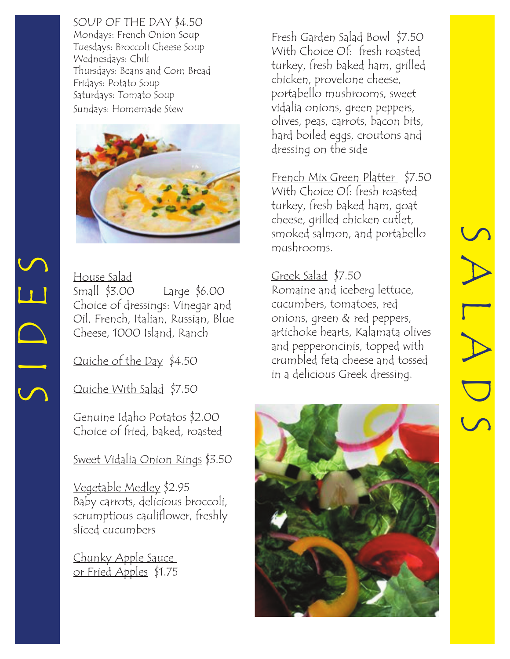SOUP OF THE DAY \$4.50 Mondays: French Onion Soup Tuesdays: Broccoli Cheese Soup Wednesdays: Chili Thursdays: Beans and Corn Bread Fridays: Potato Soup Saturdays: Tomato Soup Sundays: Homemade Stew



House Salad Small \$3.00 Large \$6.00 Choice of dressings: Vinegar and Oil, French, Italian, Russian, Blue Cheese, 1000 Island, Ranch

Quiche of the Day \$4.50

S I D E S

Quiche With Salad \$7.50

Genuine Idaho Potatos \$2.00 Choice of fried, baked, roasted

Sweet Vidalia Onion Rings \$3.50

Vegetable Medley \$2.95 Baby carrots, delicious broccoli, scrumptious cauliflower, freshly sliced cucumbers

Chunky Apple Sauce or Fried Apples \$1.75 Fresh Garden Salad Bowl \$7.50 With Choice Of: fresh roasted turkey, fresh baked ham, grilled chicken, provelone cheese, portabello mushrooms, sweet vidalia onions, green peppers, olives, peas, carrots, bacon bits, hard boiled eggs, croutons and dressing on the side

French Mix Green Platter \$7.50 With Choice Of: fresh roasted turkey, fresh baked ham, goat cheese, grilled chicken cutlet, smoked salmon, and portabello mushrooms.

Greek Salad \$7.50 Romaine and iceberg lettuce, cucumbers, tomatoes, red onions, green & red peppers, artichoke hearts, Kalamata olives and pepperoncinis, topped with crumbled feta cheese and tossed in a delicious Greek dressing.



 $\mathcal{C}$  $\blacktriangleright$ **Lett**  $\overline{\phantom{a}}$  $\blacktriangleright$ D $\overline{\mathsf{C}}$